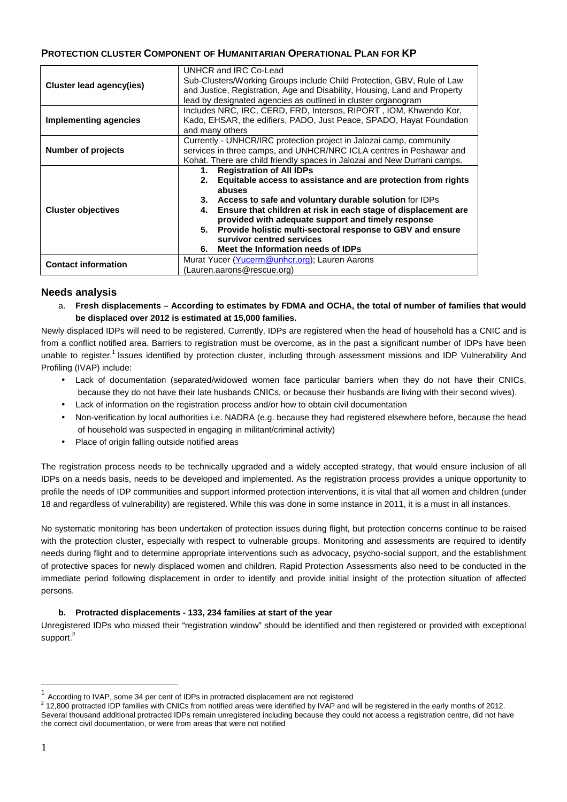# **PROTECTION CLUSTER COMPONENT OF HUMANITARIAN OPERATIONAL PLAN FOR KP**

|                                 | UNHCR and IRC Co-Lead                                                     |
|---------------------------------|---------------------------------------------------------------------------|
|                                 | Sub-Clusters/Working Groups include Child Protection, GBV, Rule of Law    |
| <b>Cluster lead agency(ies)</b> | and Justice, Registration, Age and Disability, Housing, Land and Property |
|                                 | lead by designated agencies as outlined in cluster organogram             |
|                                 | Includes NRC, IRC, CERD, FRD, Intersos, RIPORT, IOM, Khwendo Kor,         |
| <b>Implementing agencies</b>    | Kado, EHSAR, the edifiers, PADO, Just Peace, SPADO, Hayat Foundation      |
|                                 | and many others                                                           |
| <b>Number of projects</b>       | Currently - UNHCR/IRC protection project in Jalozai camp, community       |
|                                 | services in three camps, and UNHCR/NRC ICLA centres in Peshawar and       |
|                                 | Kohat. There are child friendly spaces in Jalozai and New Durrani camps.  |
| <b>Cluster objectives</b>       | <b>Registration of All IDPs</b><br>1.                                     |
|                                 | Equitable access to assistance and are protection from rights<br>2.       |
|                                 | abuses                                                                    |
|                                 | Access to safe and voluntary durable solution for IDPs<br>З.              |
|                                 | Ensure that children at risk in each stage of displacement are<br>4.      |
|                                 | provided with adequate support and timely response                        |
|                                 | Provide holistic multi-sectoral response to GBV and ensure<br>5.          |
|                                 | survivor centred services                                                 |
|                                 | Meet the Information needs of IDPs<br>6.                                  |
| <b>Contact information</b>      | Murat Yucer (Yucerm@unhcr.org); Lauren Aarons                             |
|                                 | (Lauren.aarons@rescue.org)                                                |

# **Needs analysis**

a. **Fresh displacements – According to estimates by FDMA and OCHA, the total of number of families that would be displaced over 2012 is estimated at 15,000 families.**

Newly displaced IDPs will need to be registered. Currently, IDPs are registered when the head of household has a CNIC and is from a conflict notified area. Barriers to registration must be overcome, as in the past a significant number of IDPs have been unable to register.<sup>1</sup> Issues identified by protection cluster, including through assessment missions and IDP Vulnerability And Profiling (IVAP) include:

- Lack of documentation (separated/widowed women face particular barriers when they do not have their CNICs, because they do not have their late husbands CNICs, or because their husbands are living with their second wives).
- Lack of information on the registration process and/or how to obtain civil documentation
- Non-verification by local authorities i.e. NADRA (e.g. because they had registered elsewhere before, because the head of household was suspected in engaging in militant/criminal activity)
- Place of origin falling outside notified areas

The registration process needs to be technically upgraded and a widely accepted strategy, that would ensure inclusion of all IDPs on a needs basis, needs to be developed and implemented. As the registration process provides a unique opportunity to profile the needs of IDP communities and support informed protection interventions, it is vital that all women and children (under 18 and regardless of vulnerability) are registered. While this was done in some instance in 2011, it is a must in all instances.

No systematic monitoring has been undertaken of protection issues during flight, but protection concerns continue to be raised with the protection cluster, especially with respect to vulnerable groups. Monitoring and assessments are required to identify needs during flight and to determine appropriate interventions such as advocacy, psycho-social support, and the establishment of protective spaces for newly displaced women and children. Rapid Protection Assessments also need to be conducted in the immediate period following displacement in order to identify and provide initial insight of the protection situation of affected persons.

## **b. Protracted displacements - 133, 234 families at start of the year**

Unregistered IDPs who missed their "registration window" should be identified and then registered or provided with exceptional support. $^2$ 

 $\overline{a}$ 

<sup>1</sup> According to IVAP, some 34 per cent of IDPs in protracted displacement are not registered

 $2$  12,800 protracted IDP families with CNICs from notified areas were identified by IVAP and will be registered in the early months of 2012. Several thousand additional protracted IDPs remain unregistered including because they could not access a registration centre, did not have the correct civil documentation, or were from areas that were not notified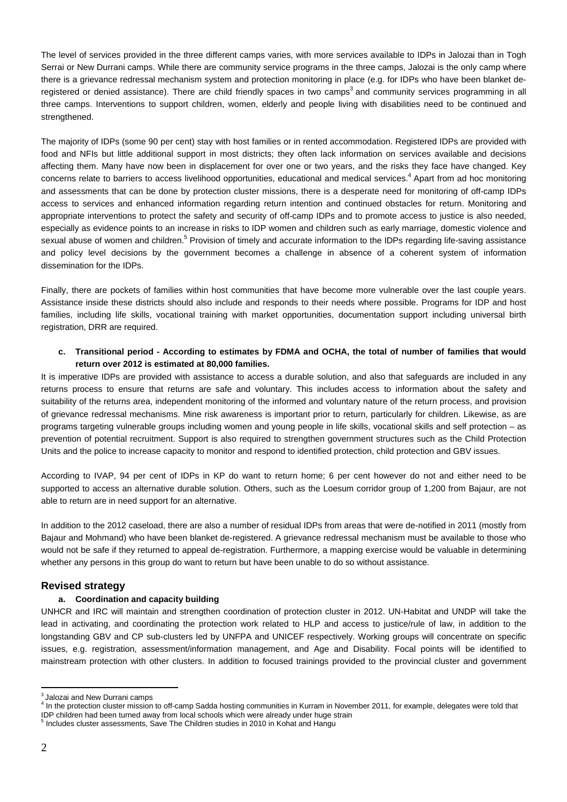The level of services provided in the three different camps varies, with more services available to IDPs in Jalozai than in Togh Serrai or New Durrani camps. While there are community service programs in the three camps, Jalozai is the only camp where there is a grievance redressal mechanism system and protection monitoring in place (e.g. for IDPs who have been blanket deregistered or denied assistance). There are child friendly spaces in two camps<sup>3</sup> and community services programming in all three camps. Interventions to support children, women, elderly and people living with disabilities need to be continued and strengthened.

The majority of IDPs (some 90 per cent) stay with host families or in rented accommodation. Registered IDPs are provided with food and NFIs but little additional support in most districts; they often lack information on services available and decisions affecting them. Many have now been in displacement for over one or two years, and the risks they face have changed. Key concerns relate to barriers to access livelihood opportunities, educational and medical services.<sup>4</sup> Apart from ad hoc monitoring and assessments that can be done by protection cluster missions, there is a desperate need for monitoring of off-camp IDPs access to services and enhanced information regarding return intention and continued obstacles for return. Monitoring and appropriate interventions to protect the safety and security of off-camp IDPs and to promote access to justice is also needed, especially as evidence points to an increase in risks to IDP women and children such as early marriage, domestic violence and sexual abuse of women and children.<sup>5</sup> Provision of timely and accurate information to the IDPs regarding life-saving assistance and policy level decisions by the government becomes a challenge in absence of a coherent system of information dissemination for the IDPs.

Finally, there are pockets of families within host communities that have become more vulnerable over the last couple years. Assistance inside these districts should also include and responds to their needs where possible. Programs for IDP and host families, including life skills, vocational training with market opportunities, documentation support including universal birth registration, DRR are required.

### **c. Transitional period - According to estimates by FDMA and OCHA, the total of number of families that would return over 2012 is estimated at 80,000 families.**

It is imperative IDPs are provided with assistance to access a durable solution, and also that safeguards are included in any returns process to ensure that returns are safe and voluntary. This includes access to information about the safety and suitability of the returns area, independent monitoring of the informed and voluntary nature of the return process, and provision of grievance redressal mechanisms. Mine risk awareness is important prior to return, particularly for children. Likewise, as are programs targeting vulnerable groups including women and young people in life skills, vocational skills and self protection – as prevention of potential recruitment. Support is also required to strengthen government structures such as the Child Protection Units and the police to increase capacity to monitor and respond to identified protection, child protection and GBV issues.

According to IVAP, 94 per cent of IDPs in KP do want to return home; 6 per cent however do not and either need to be supported to access an alternative durable solution. Others, such as the Loesum corridor group of 1,200 from Bajaur, are not able to return are in need support for an alternative.

In addition to the 2012 caseload, there are also a number of residual IDPs from areas that were de-notified in 2011 (mostly from Bajaur and Mohmand) who have been blanket de-registered. A grievance redressal mechanism must be available to those who would not be safe if they returned to appeal de-registration. Furthermore, a mapping exercise would be valuable in determining whether any persons in this group do want to return but have been unable to do so without assistance.

## **Revised strategy**

## **a. Coordination and capacity building**

UNHCR and IRC will maintain and strengthen coordination of protection cluster in 2012. UN-Habitat and UNDP will take the lead in activating, and coordinating the protection work related to HLP and access to justice/rule of law, in addition to the longstanding GBV and CP sub-clusters led by UNFPA and UNICEF respectively. Working groups will concentrate on specific issues, e.g. registration, assessment/information management, and Age and Disability. Focal points will be identified to mainstream protection with other clusters. In addition to focused trainings provided to the provincial cluster and government

 $\overline{a}$  $^3$ Jalozai and New Durrani camps

<sup>&</sup>lt;sup>4</sup> In the protection cluster mission to off-camp Sadda hosting communities in Kurram in November 2011, for example, delegates were told that IDP children had been turned away from local schools which were already under huge strain

<sup>&</sup>lt;sup>5</sup> Includes cluster assessments, Save The Children studies in 2010 in Kohat and Hangu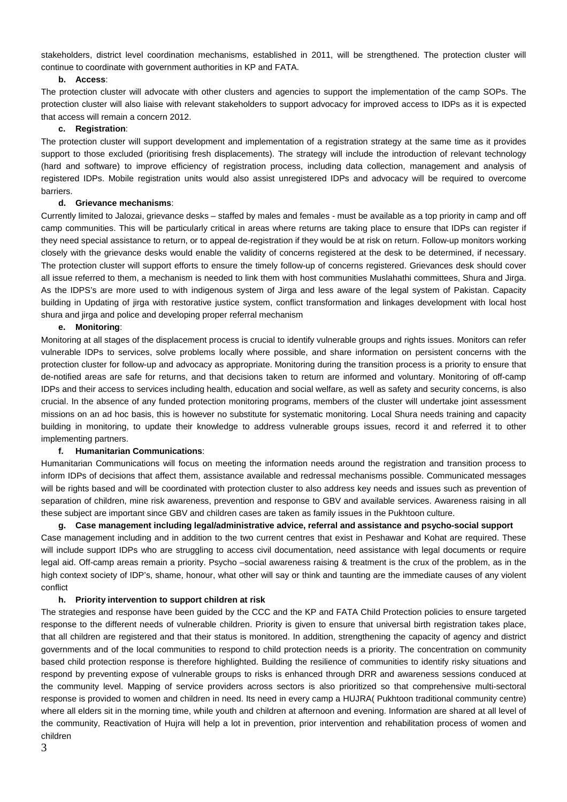stakeholders, district level coordination mechanisms, established in 2011, will be strengthened. The protection cluster will continue to coordinate with government authorities in KP and FATA.

### **b. Access**:

The protection cluster will advocate with other clusters and agencies to support the implementation of the camp SOPs. The protection cluster will also liaise with relevant stakeholders to support advocacy for improved access to IDPs as it is expected that access will remain a concern 2012.

### **c. Registration**:

The protection cluster will support development and implementation of a registration strategy at the same time as it provides support to those excluded (prioritising fresh displacements). The strategy will include the introduction of relevant technology (hard and software) to improve efficiency of registration process, including data collection, management and analysis of registered IDPs. Mobile registration units would also assist unregistered IDPs and advocacy will be required to overcome **barriers** 

### **d. Grievance mechanisms**:

Currently limited to Jalozai, grievance desks – staffed by males and females - must be available as a top priority in camp and off camp communities. This will be particularly critical in areas where returns are taking place to ensure that IDPs can register if they need special assistance to return, or to appeal de-registration if they would be at risk on return. Follow-up monitors working closely with the grievance desks would enable the validity of concerns registered at the desk to be determined, if necessary. The protection cluster will support efforts to ensure the timely follow-up of concerns registered. Grievances desk should cover all issue referred to them, a mechanism is needed to link them with host communities Muslahathi committees, Shura and Jirga. As the IDPS's are more used to with indigenous system of Jirga and less aware of the legal system of Pakistan. Capacity building in Updating of jirga with restorative justice system, conflict transformation and linkages development with local host shura and jirga and police and developing proper referral mechanism

### **e. Monitoring**:

Monitoring at all stages of the displacement process is crucial to identify vulnerable groups and rights issues. Monitors can refer vulnerable IDPs to services, solve problems locally where possible, and share information on persistent concerns with the protection cluster for follow-up and advocacy as appropriate. Monitoring during the transition process is a priority to ensure that de-notified areas are safe for returns, and that decisions taken to return are informed and voluntary. Monitoring of off-camp IDPs and their access to services including health, education and social welfare, as well as safety and security concerns, is also crucial. In the absence of any funded protection monitoring programs, members of the cluster will undertake joint assessment missions on an ad hoc basis, this is however no substitute for systematic monitoring. Local Shura needs training and capacity building in monitoring, to update their knowledge to address vulnerable groups issues, record it and referred it to other implementing partners.

#### **f. Humanitarian Communications**:

Humanitarian Communications will focus on meeting the information needs around the registration and transition process to inform IDPs of decisions that affect them, assistance available and redressal mechanisms possible. Communicated messages will be rights based and will be coordinated with protection cluster to also address key needs and issues such as prevention of separation of children, mine risk awareness, prevention and response to GBV and available services. Awareness raising in all these subject are important since GBV and children cases are taken as family issues in the Pukhtoon culture.

### **g. Case management including legal/administrative advice, referral and assistance and psycho-social support**

Case management including and in addition to the two current centres that exist in Peshawar and Kohat are required. These will include support IDPs who are struggling to access civil documentation, need assistance with legal documents or require legal aid. Off-camp areas remain a priority. Psycho –social awareness raising & treatment is the crux of the problem, as in the high context society of IDP's, shame, honour, what other will say or think and taunting are the immediate causes of any violent conflict

#### **h. Priority intervention to support children at risk**

The strategies and response have been guided by the CCC and the KP and FATA Child Protection policies to ensure targeted response to the different needs of vulnerable children. Priority is given to ensure that universal birth registration takes place, that all children are registered and that their status is monitored. In addition, strengthening the capacity of agency and district governments and of the local communities to respond to child protection needs is a priority. The concentration on community based child protection response is therefore highlighted. Building the resilience of communities to identify risky situations and respond by preventing expose of vulnerable groups to risks is enhanced through DRR and awareness sessions conduced at the community level. Mapping of service providers across sectors is also prioritized so that comprehensive multi-sectoral response is provided to women and children in need. Its need in every camp a HUJRA( Pukhtoon traditional community centre) where all elders sit in the morning time, while youth and children at afternoon and evening. Information are shared at all level of the community, Reactivation of Hujra will help a lot in prevention, prior intervention and rehabilitation process of women and children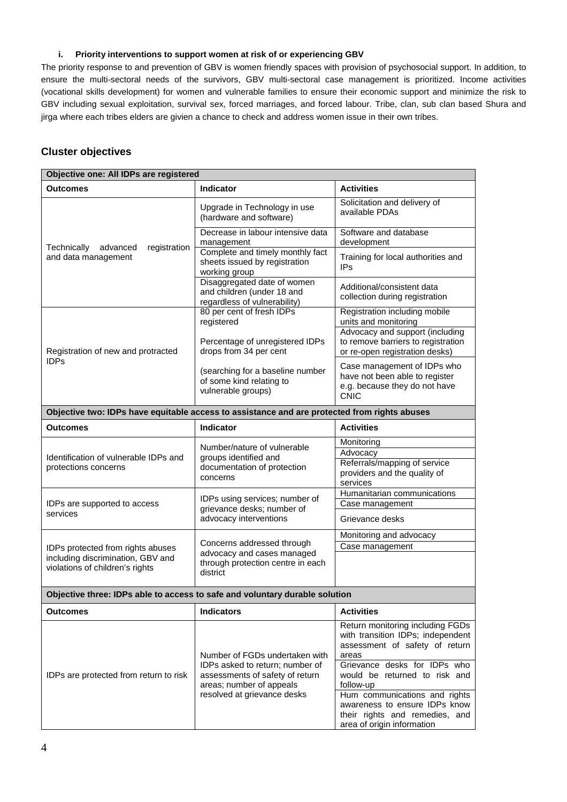### **i. Priority interventions to support women at risk of or experiencing GBV**

The priority response to and prevention of GBV is women friendly spaces with provision of psychosocial support. In addition, to ensure the multi-sectoral needs of the survivors, GBV multi-sectoral case management is prioritized. Income activities (vocational skills development) for women and vulnerable families to ensure their economic support and minimize the risk to GBV including sexual exploitation, survival sex, forced marriages, and forced labour. Tribe, clan, sub clan based Shura and jirga where each tribes elders are givien a chance to check and address women issue in their own tribes.

# **Cluster objectives**

| Objective one: All IDPs are registered                                                                    |                                                                                                                                                                 |                                                                                                                                                                                                                                                                  |  |  |  |
|-----------------------------------------------------------------------------------------------------------|-----------------------------------------------------------------------------------------------------------------------------------------------------------------|------------------------------------------------------------------------------------------------------------------------------------------------------------------------------------------------------------------------------------------------------------------|--|--|--|
| Outcomes                                                                                                  | <b>Indicator</b>                                                                                                                                                | <b>Activities</b>                                                                                                                                                                                                                                                |  |  |  |
| registration<br>Technically<br>advanced<br>and data management                                            | Upgrade in Technology in use<br>(hardware and software)                                                                                                         | Solicitation and delivery of<br>available PDAs                                                                                                                                                                                                                   |  |  |  |
|                                                                                                           | Decrease in labour intensive data<br>management                                                                                                                 | Software and database<br>development                                                                                                                                                                                                                             |  |  |  |
|                                                                                                           | Complete and timely monthly fact<br>sheets issued by registration<br>working group                                                                              | Training for local authorities and<br><b>IPs</b>                                                                                                                                                                                                                 |  |  |  |
|                                                                                                           | Disaggregated date of women<br>and children (under 18 and<br>regardless of vulnerability)                                                                       | Additional/consistent data<br>collection during registration                                                                                                                                                                                                     |  |  |  |
| Registration of new and protracted<br><b>IDPs</b>                                                         | 80 per cent of fresh IDPs<br>registered                                                                                                                         | Registration including mobile<br>units and monitoring                                                                                                                                                                                                            |  |  |  |
|                                                                                                           | Percentage of unregistered IDPs<br>drops from 34 per cent                                                                                                       | Advocacy and support (including<br>to remove barriers to registration<br>or re-open registration desks)                                                                                                                                                          |  |  |  |
|                                                                                                           | (searching for a baseline number<br>of some kind relating to<br>vulnerable groups)                                                                              | Case management of IDPs who<br>have not been able to register<br>e.g. because they do not have<br><b>CNIC</b>                                                                                                                                                    |  |  |  |
| Objective two: IDPs have equitable access to assistance and are protected from rights abuses              |                                                                                                                                                                 |                                                                                                                                                                                                                                                                  |  |  |  |
| Outcomes                                                                                                  | <b>Indicator</b>                                                                                                                                                | <b>Activities</b>                                                                                                                                                                                                                                                |  |  |  |
| Identification of vulnerable IDPs and<br>protections concerns                                             | Number/nature of vulnerable<br>groups identified and<br>documentation of protection<br>concerns                                                                 | Monitoring<br>Advocacy                                                                                                                                                                                                                                           |  |  |  |
|                                                                                                           |                                                                                                                                                                 | Referrals/mapping of service<br>providers and the quality of<br>services                                                                                                                                                                                         |  |  |  |
| IDPs are supported to access                                                                              | IDPs using services; number of<br>grievance desks; number of<br>advocacy interventions                                                                          | Humanitarian communications<br>Case management                                                                                                                                                                                                                   |  |  |  |
| services                                                                                                  |                                                                                                                                                                 | Grievance desks                                                                                                                                                                                                                                                  |  |  |  |
|                                                                                                           | Concerns addressed through<br>advocacy and cases managed                                                                                                        | Monitoring and advocacy                                                                                                                                                                                                                                          |  |  |  |
| IDPs protected from rights abuses<br>including discrimination, GBV and<br>violations of children's rights |                                                                                                                                                                 | Case management                                                                                                                                                                                                                                                  |  |  |  |
|                                                                                                           | through protection centre in each<br>district                                                                                                                   |                                                                                                                                                                                                                                                                  |  |  |  |
| Objective three: IDPs able to access to safe and voluntary durable solution                               |                                                                                                                                                                 |                                                                                                                                                                                                                                                                  |  |  |  |
| Outcomes                                                                                                  | <b>Indicators</b>                                                                                                                                               | <b>Activities</b>                                                                                                                                                                                                                                                |  |  |  |
| IDPs are protected from return to risk                                                                    | Number of FGDs undertaken with<br>IDPs asked to return; number of<br>assessments of safety of return<br>areas; number of appeals<br>resolved at grievance desks | Return monitoring including FGDs<br>with transition IDPs; independent<br>assessment of safety of return<br>areas<br>Grievance desks for IDPs who<br>would be returned to risk and<br>follow-up<br>Hum communications and rights<br>awareness to ensure IDPs know |  |  |  |
|                                                                                                           |                                                                                                                                                                 | their rights and remedies, and<br>area of origin information                                                                                                                                                                                                     |  |  |  |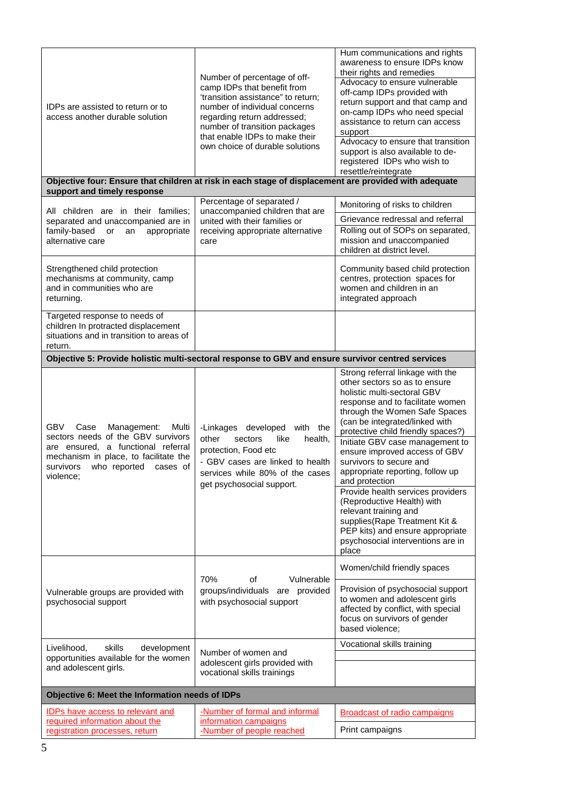| IDPs are assisted to return or to<br>access another durable solution                                                                                                                                         | Number of percentage of off-<br>camp IDPs that benefit from<br>'transition assistance" to return;<br>number of individual concerns<br>regarding return addressed;<br>number of transition packages<br>that enable IDPs to make their<br>own choice of durable solutions | Hum communications and rights<br>awareness to ensure IDPs know<br>their rights and remedies<br>Advocacy to ensure vulnerable<br>off-camp IDPs provided with<br>return support and that camp and<br>on-camp IDPs who need special<br>assistance to return can access<br>support<br>Advocacy to ensure that transition<br>support is also available to de-<br>registered IDPs who wish to<br>resettle/reintegrate                                                                                                                                                                                                   |
|--------------------------------------------------------------------------------------------------------------------------------------------------------------------------------------------------------------|-------------------------------------------------------------------------------------------------------------------------------------------------------------------------------------------------------------------------------------------------------------------------|-------------------------------------------------------------------------------------------------------------------------------------------------------------------------------------------------------------------------------------------------------------------------------------------------------------------------------------------------------------------------------------------------------------------------------------------------------------------------------------------------------------------------------------------------------------------------------------------------------------------|
| Objective four: Ensure that children at risk in each stage of displacement are provided with adequate                                                                                                        |                                                                                                                                                                                                                                                                         |                                                                                                                                                                                                                                                                                                                                                                                                                                                                                                                                                                                                                   |
| support and timely response                                                                                                                                                                                  | Percentage of separated /                                                                                                                                                                                                                                               |                                                                                                                                                                                                                                                                                                                                                                                                                                                                                                                                                                                                                   |
| All children are in their families;                                                                                                                                                                          | unaccompanied children that are                                                                                                                                                                                                                                         | Monitoring of risks to children                                                                                                                                                                                                                                                                                                                                                                                                                                                                                                                                                                                   |
| separated and unaccompanied are in                                                                                                                                                                           | united with their families or                                                                                                                                                                                                                                           | Grievance redressal and referral<br>Rolling out of SOPs on separated,                                                                                                                                                                                                                                                                                                                                                                                                                                                                                                                                             |
| family-based<br>or<br>an<br>appropriate<br>alternative care                                                                                                                                                  | receiving appropriate alternative<br>care                                                                                                                                                                                                                               | mission and unaccompanied<br>children at district level.                                                                                                                                                                                                                                                                                                                                                                                                                                                                                                                                                          |
| Strengthened child protection                                                                                                                                                                                |                                                                                                                                                                                                                                                                         | Community based child protection                                                                                                                                                                                                                                                                                                                                                                                                                                                                                                                                                                                  |
| mechanisms at community, camp<br>and in communities who are                                                                                                                                                  |                                                                                                                                                                                                                                                                         | centres, protection spaces for                                                                                                                                                                                                                                                                                                                                                                                                                                                                                                                                                                                    |
| returning.                                                                                                                                                                                                   |                                                                                                                                                                                                                                                                         | women and children in an<br>integrated approach                                                                                                                                                                                                                                                                                                                                                                                                                                                                                                                                                                   |
| Targeted response to needs of                                                                                                                                                                                |                                                                                                                                                                                                                                                                         |                                                                                                                                                                                                                                                                                                                                                                                                                                                                                                                                                                                                                   |
| children In protracted displacement<br>situations and in transition to areas of<br>return.                                                                                                                   |                                                                                                                                                                                                                                                                         |                                                                                                                                                                                                                                                                                                                                                                                                                                                                                                                                                                                                                   |
| Objective 5: Provide holistic multi-sectoral response to GBV and ensure survivor centred services                                                                                                            |                                                                                                                                                                                                                                                                         |                                                                                                                                                                                                                                                                                                                                                                                                                                                                                                                                                                                                                   |
| GBV.<br>Case<br>Management:<br>Multi<br>sectors needs of the GBV survivors<br>are ensured, a functional referral<br>mechanism in place, to facilitate the<br>who reported cases of<br>survivors<br>violence; | -Linkages developed with the<br>other<br>health,<br>sectors<br>like<br>protection, Food etc<br>- GBV cases are linked to health<br>services while 80% of the cases<br>get psychosocial support.                                                                         | Strong referral linkage with the<br>other sectors so as to ensure<br>holistic multi-sectoral GBV<br>response and to facilitate women<br>through the Women Safe Spaces<br>(can be integrated/linked with<br>protective child friendly spaces?)<br>Initiate GBV case management to<br>ensure improved access of GBV<br>survivors to secure and<br>appropriate reporting, follow up<br>and protection<br>Provide health services providers<br>(Reproductive Health) with<br>relevant training and<br>supplies(Rape Treatment Kit &<br>PEP kits) and ensure appropriate<br>psychosocial interventions are in<br>place |
| Vulnerable groups are provided with<br>psychosocial support                                                                                                                                                  | 70%<br>of<br>Vulnerable<br>groups/individuals are provided<br>with psychosocial support                                                                                                                                                                                 | Women/child friendly spaces<br>Provision of psychosocial support<br>to women and adolescent girls<br>affected by conflict, with special<br>focus on survivors of gender<br>based violence;                                                                                                                                                                                                                                                                                                                                                                                                                        |
| Livelihood,<br>skills<br>development                                                                                                                                                                         | Number of women and                                                                                                                                                                                                                                                     | Vocational skills training                                                                                                                                                                                                                                                                                                                                                                                                                                                                                                                                                                                        |
| opportunities available for the women<br>and adolescent girls.                                                                                                                                               | adolescent girls provided with<br>vocational skills trainings                                                                                                                                                                                                           |                                                                                                                                                                                                                                                                                                                                                                                                                                                                                                                                                                                                                   |
| Objective 6: Meet the Information needs of IDPs                                                                                                                                                              |                                                                                                                                                                                                                                                                         |                                                                                                                                                                                                                                                                                                                                                                                                                                                                                                                                                                                                                   |
| <b>IDPs have access to relevant and</b>                                                                                                                                                                      | -Number of formal and informal                                                                                                                                                                                                                                          | <b>Broadcast of radio campaigns</b>                                                                                                                                                                                                                                                                                                                                                                                                                                                                                                                                                                               |
| required information about the                                                                                                                                                                               | information campaigns                                                                                                                                                                                                                                                   |                                                                                                                                                                                                                                                                                                                                                                                                                                                                                                                                                                                                                   |
| registration processes, return                                                                                                                                                                               | -Number of people reached                                                                                                                                                                                                                                               | Print campaigns                                                                                                                                                                                                                                                                                                                                                                                                                                                                                                                                                                                                   |